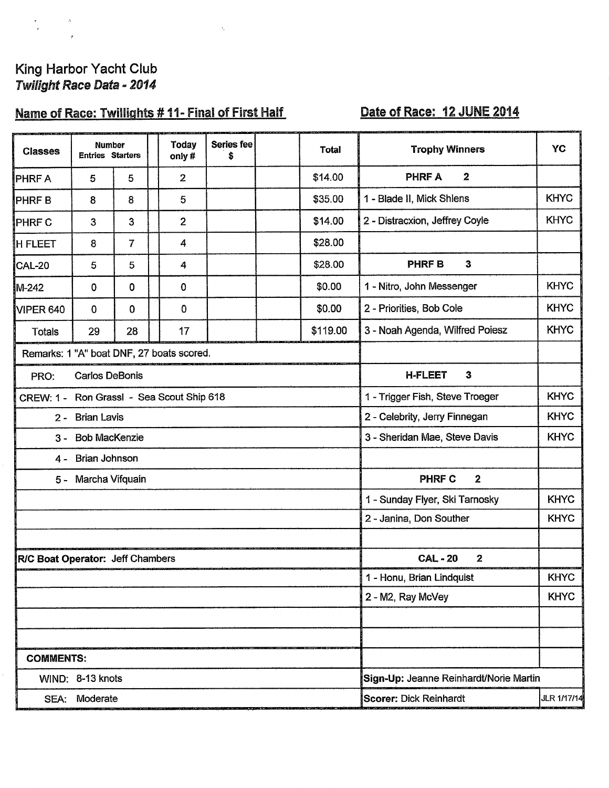# King Harbor Yacht Club<br>Twilight Race Data - 2014

 $\Delta$ 

# Name of Race: Twillights #11- Final of First Half

 $\ddot{\phantom{0}}$ 

# Date of Race: 12 JUNE 2014

| <b>Classes</b>                            | <b>Number</b><br><b>Entries Starters</b> |             |                                           | <b>Today</b><br>only# | Series fee<br>\$                       |                                       | <b>Total</b>                   | <b>Trophy Winners</b>                          | YC          |  |  |  |
|-------------------------------------------|------------------------------------------|-------------|-------------------------------------------|-----------------------|----------------------------------------|---------------------------------------|--------------------------------|------------------------------------------------|-------------|--|--|--|
| <b>PHRF A</b>                             | 5                                        | 5           |                                           | $\overline{2}$        |                                        |                                       | \$14.00                        | <b>PHRF A</b><br>$\boldsymbol{2}$              |             |  |  |  |
| <b>PHRFB</b>                              | 8                                        | 8           |                                           | 5                     |                                        |                                       | \$35.00                        | 1 - Blade II, Mick Shlens                      | <b>KHYC</b> |  |  |  |
| PHRF C                                    | 3                                        | 3           |                                           | $\overline{2}$        |                                        |                                       | \$14.00                        | 2 - Distracxion, Jeffrey Coyle                 | <b>KHYC</b> |  |  |  |
| <b>H FLEET</b>                            | 8                                        | 7           |                                           | 4                     |                                        |                                       | \$28.00                        |                                                |             |  |  |  |
| CAL-20                                    | 5                                        | 5           |                                           | 4                     |                                        |                                       | \$28.00                        | PHRF B<br>3                                    |             |  |  |  |
| M-242                                     | 0                                        | 0           |                                           | $\mathbf 0$           |                                        |                                       | \$0.00                         | 1 - Nitro, John Messenger                      | <b>KHYC</b> |  |  |  |
| VIPER 640                                 | $\mathbf 0$                              | $\mathbf 0$ |                                           | $\mathbf 0$           |                                        |                                       | \$0.00                         | 2 - Priorities, Bob Cole                       | <b>KHYC</b> |  |  |  |
| <b>Totals</b>                             | 29                                       | 28          |                                           | 17                    |                                        |                                       | \$119.00                       | 3 - Noah Agenda, Wilfred Poiesz                | <b>KHYC</b> |  |  |  |
| Remarks: 1 "A" boat DNF, 27 boats scored. |                                          |             |                                           |                       |                                        |                                       |                                |                                                |             |  |  |  |
| <b>Carlos DeBonis</b><br>PRO:             |                                          |             |                                           |                       |                                        |                                       | $\mathbf{3}$<br><b>H-FLEET</b> |                                                |             |  |  |  |
|                                           |                                          |             | CREW: 1 - Ron Grassl - Sea Scout Ship 618 |                       |                                        |                                       |                                | <b>KHYC</b><br>1 - Trigger Fish, Steve Troeger |             |  |  |  |
| 2 - Brian Lavis                           |                                          |             |                                           |                       |                                        |                                       |                                | <b>KHYC</b><br>2 - Celebrity, Jerry Finnegan   |             |  |  |  |
| $3 -$                                     | <b>Bob MacKenzie</b>                     |             |                                           |                       |                                        |                                       |                                | 3 - Sheridan Mae, Steve Davis                  | <b>KHYC</b> |  |  |  |
|                                           | 4 - Brian Johnson                        |             |                                           |                       |                                        |                                       |                                |                                                |             |  |  |  |
|                                           | 5 - Marcha Vifquain                      |             |                                           |                       |                                        |                                       |                                | <b>PHRF C</b><br>$\mathbf{2}$                  |             |  |  |  |
|                                           |                                          |             |                                           |                       |                                        |                                       |                                | 1 - Sunday Flyer, Ski Tarnosky                 | <b>KHYC</b> |  |  |  |
|                                           |                                          |             |                                           |                       | <b>KHYC</b><br>2 - Janina, Don Souther |                                       |                                |                                                |             |  |  |  |
|                                           |                                          |             |                                           |                       |                                        |                                       |                                |                                                |             |  |  |  |
| R/C Boat Operator: Jeff Chambers          |                                          |             |                                           |                       |                                        |                                       |                                | <b>CAL-20</b><br>$\mathbf{2}$                  |             |  |  |  |
|                                           |                                          |             |                                           |                       |                                        |                                       |                                | 1 - Honu, Brian Lindquist                      | <b>KHYC</b> |  |  |  |
|                                           |                                          |             |                                           |                       |                                        |                                       |                                | 2 - M2, Ray McVey                              | <b>KHYC</b> |  |  |  |
|                                           |                                          |             |                                           |                       |                                        |                                       |                                |                                                |             |  |  |  |
|                                           |                                          |             |                                           |                       |                                        |                                       |                                |                                                |             |  |  |  |
| <b>COMMENTS:</b>                          |                                          |             |                                           |                       |                                        |                                       |                                |                                                |             |  |  |  |
|                                           | WIND: 8-13 knots                         |             |                                           |                       |                                        |                                       |                                | Sign-Up: Jeanne Reinhardt/Norie Martin         |             |  |  |  |
|                                           | SEA: Moderate                            |             |                                           |                       |                                        | Scorer: Dick Reinhardt<br>JLR 1/17/14 |                                |                                                |             |  |  |  |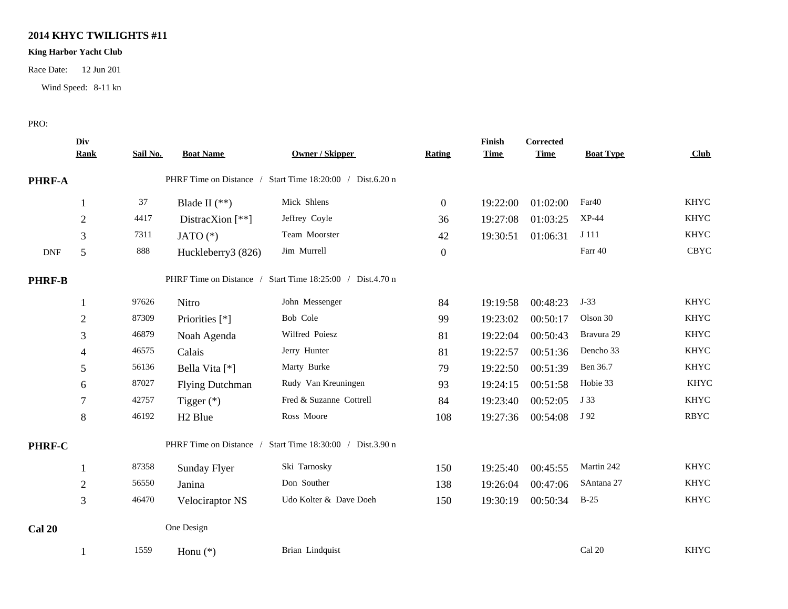## **2014 KHYC TWILIGHTS #11**

### **King Harbor Yacht Club**

Race Date: 12 Jun 201

Wind Speed: 8-11 kn

#### PRO:

|                             | Div<br><b>Rank</b> | Sail No. | <b>Boat Name</b>                                          | <b>Owner / Skipper</b>                                    | Rating           | Finish<br><b>Time</b> | <b>Corrected</b><br><b>Time</b> | <b>Boat Type</b> | Club        |
|-----------------------------|--------------------|----------|-----------------------------------------------------------|-----------------------------------------------------------|------------------|-----------------------|---------------------------------|------------------|-------------|
| PHRF-A                      |                    |          | PHRF Time on Distance / Start Time 18:20:00 / Dist.6.20 n |                                                           |                  |                       |                                 |                  |             |
|                             | 1                  | 37       | Blade II $(**)$                                           | Mick Shlens                                               | $\boldsymbol{0}$ | 19:22:00              | 01:02:00                        | Far40            | <b>KHYC</b> |
|                             | $\sqrt{2}$         | 4417     | DistracXion $[**]$                                        | Jeffrey Coyle                                             | 36               | 19:27:08              | 01:03:25                        | $XP-44$          | <b>KHYC</b> |
|                             | 3                  | 7311     | JATO $(*)$                                                | Team Moorster                                             | 42               | 19:30:51              | 01:06:31                        | J 111            | <b>KHYC</b> |
| $\ensuremath{\mathsf{DNF}}$ | $\mathfrak s$      | 888      | Huckleberry3 (826)                                        | Jim Murrell                                               | $\boldsymbol{0}$ |                       |                                 | Farr 40          | CBYC        |
| <b>PHRF-B</b>               |                    |          |                                                           | PHRF Time on Distance / Start Time 18:25:00 / Dist.4.70 n |                  |                       |                                 |                  |             |
|                             | 1                  | 97626    | Nitro                                                     | John Messenger                                            | 84               | 19:19:58              | 00:48:23                        | $J-33$           | <b>KHYC</b> |
|                             | $\overline{c}$     | 87309    | Priorities [*]                                            | Bob Cole                                                  | 99               | 19:23:02              | 00:50:17                        | Olson 30         | <b>KHYC</b> |
|                             | 3                  | 46879    | Noah Agenda                                               | Wilfred Poiesz                                            | 81               | 19:22:04              | 00:50:43                        | Bravura 29       | <b>KHYC</b> |
|                             | 4                  | 46575    | Calais                                                    | Jerry Hunter                                              | 81               | 19:22:57              | 00:51:36                        | Dencho 33        | <b>KHYC</b> |
|                             | 5                  | 56136    | Bella Vita [*]                                            | Marty Burke                                               | 79               | 19:22:50              | 00:51:39                        | Ben 36.7         | <b>KHYC</b> |
|                             | 6                  | 87027    | <b>Flying Dutchman</b>                                    | Rudy Van Kreuningen                                       | 93               | 19:24:15              | 00:51:58                        | Hobie 33         | <b>KHYC</b> |
|                             | 7                  | 42757    | Tigger $(*)$                                              | Fred & Suzanne Cottrell                                   | 84               | 19:23:40              | 00:52:05                        | J 33             | <b>KHYC</b> |
|                             | $\,8\,$            | 46192    | H <sub>2</sub> Blue                                       | Ross Moore                                                | 108              | 19:27:36              | 00:54:08                        | J 92             | <b>RBYC</b> |
| PHRF-C                      |                    |          |                                                           | PHRF Time on Distance / Start Time 18:30:00 / Dist.3.90 n |                  |                       |                                 |                  |             |
|                             |                    | 87358    | Sunday Flyer                                              | Ski Tarnosky                                              | 150              | 19:25:40              | 00:45:55                        | Martin 242       | <b>KHYC</b> |
|                             | $\mathbf{2}$       | 56550    | Janina                                                    | Don Souther                                               | 138              | 19:26:04              | 00:47:06                        | SAntana 27       | <b>KHYC</b> |
|                             | 3                  | 46470    | Velociraptor NS                                           | Udo Kolter & Dave Doeh                                    | 150              | 19:30:19              | 00:50:34                        | $B-25$           | <b>KHYC</b> |
| <b>Cal 20</b>               |                    |          | One Design                                                |                                                           |                  |                       |                                 |                  |             |
|                             |                    | 1559     | Honu $(*)$                                                | Brian Lindquist                                           |                  |                       |                                 | Cal 20           | <b>KHYC</b> |